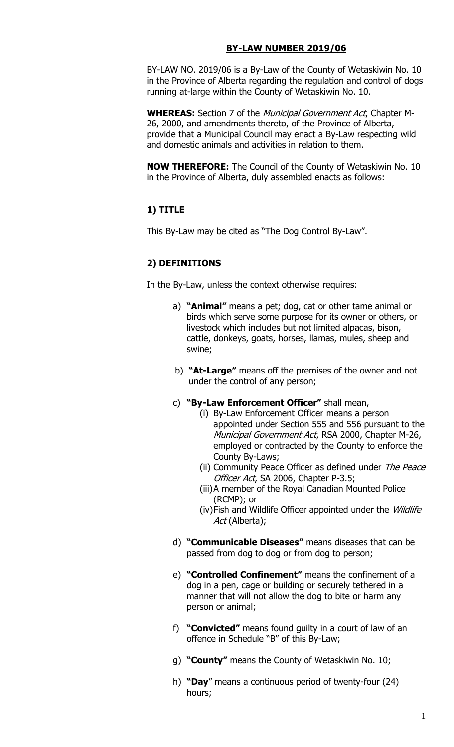#### **BY-LAW NUMBER 2019/06**

BY-LAW NO. 2019/06 is a By-Law of the County of Wetaskiwin No. 10 in the Province of Alberta regarding the regulation and control of dogs running at-large within the County of Wetaskiwin No. 10.

**WHEREAS:** Section 7 of the Municipal Government Act, Chapter M-26, 2000, and amendments thereto, of the Province of Alberta, provide that a Municipal Council may enact a By-Law respecting wild and domestic animals and activities in relation to them.

**NOW THEREFORE:** The Council of the County of Wetaskiwin No. 10 in the Province of Alberta, duly assembled enacts as follows:

### **1) TITLE**

This By-Law may be cited as "The Dog Control By-Law".

### **2) DEFINITIONS**

In the By-Law, unless the context otherwise requires:

- a) **"Animal"** means a pet; dog, cat or other tame animal or birds which serve some purpose for its owner or others, or livestock which includes but not limited alpacas, bison, cattle, donkeys, goats, horses, llamas, mules, sheep and swine;
- b) **"At-Large"** means off the premises of the owner and not under the control of any person;
- c) **"By-Law Enforcement Officer"** shall mean,
	- (i) By-Law Enforcement Officer means a person appointed under Section 555 and 556 pursuant to the Municipal Government Act, RSA 2000, Chapter M-26, employed or contracted by the County to enforce the County By-Laws;
	- (ii) Community Peace Officer as defined under The Peace Officer Act, SA 2006, Chapter P-3.5;
	- (iii)A member of the Royal Canadian Mounted Police (RCMP); or
	- (iv)Fish and Wildlife Officer appointed under the Wildlife Act (Alberta);
- d) **"Communicable Diseases"** means diseases that can be passed from dog to dog or from dog to person;
- e) **"Controlled Confinement"** means the confinement of a dog in a pen, cage or building or securely tethered in a manner that will not allow the dog to bite or harm any person or animal;
- f) **"Convicted"** means found guilty in a court of law of an offence in Schedule "B" of this By-Law;
- g) **"County"** means the County of Wetaskiwin No. 10;
- h) **"Day**" means a continuous period of twenty-four (24) hours;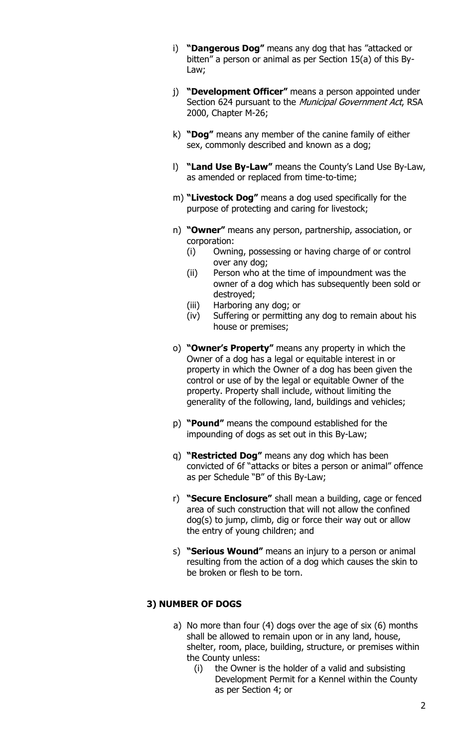- i) **"Dangerous Dog"** means any dog that has "attacked or bitten" a person or animal as per Section 15(a) of this By-Law;
- j) **"Development Officer"** means a person appointed under Section 624 pursuant to the Municipal Government Act, RSA 2000, Chapter M-26;
- k) **"Dog"** means any member of the canine family of either sex, commonly described and known as a dog;
- l) **"Land Use By-Law"** means the County's Land Use By-Law, as amended or replaced from time-to-time;
- m) **"Livestock Dog"** means a dog used specifically for the purpose of protecting and caring for livestock;
- n) **"Owner"** means any person, partnership, association, or corporation:
	- (i) Owning, possessing or having charge of or control over any dog;
	- (ii) Person who at the time of impoundment was the owner of a dog which has subsequently been sold or destroyed;
	- (iii) Harboring any dog; or
	- (iv) Suffering or permitting any dog to remain about his house or premises;
- o) **"Owner's Property"** means any property in which the Owner of a dog has a legal or equitable interest in or property in which the Owner of a dog has been given the control or use of by the legal or equitable Owner of the property. Property shall include, without limiting the generality of the following, land, buildings and vehicles;
- p) **"Pound"** means the compound established for the impounding of dogs as set out in this By-Law;
- q) **"Restricted Dog"** means any dog which has been convicted of 6f "attacks or bites a person or animal" offence as per Schedule "B" of this By-Law;
- r) **"Secure Enclosure"** shall mean a building, cage or fenced area of such construction that will not allow the confined dog(s) to jump, climb, dig or force their way out or allow the entry of young children; and
- s) **"Serious Wound"** means an injury to a person or animal resulting from the action of a dog which causes the skin to be broken or flesh to be torn.

## **3) NUMBER OF DOGS**

- a) No more than four (4) dogs over the age of six (6) months shall be allowed to remain upon or in any land, house, shelter, room, place, building, structure, or premises within the County unless:
	- (i) the Owner is the holder of a valid and subsisting Development Permit for a Kennel within the County as per Section 4; or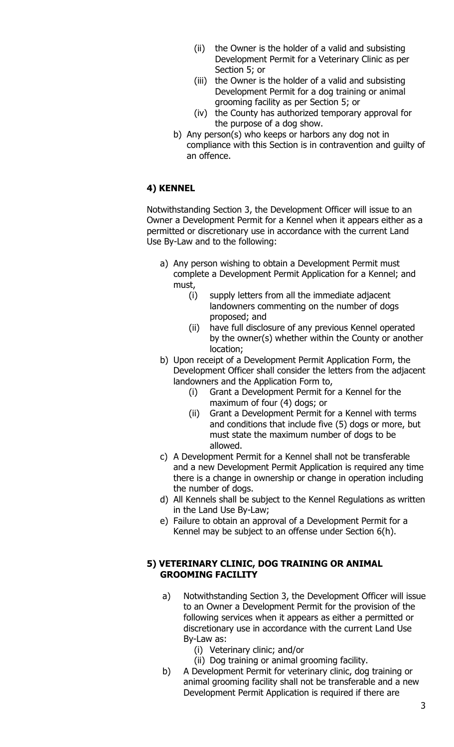- (ii) the Owner is the holder of a valid and subsisting Development Permit for a Veterinary Clinic as per Section 5; or
- (iii) the Owner is the holder of a valid and subsisting Development Permit for a dog training or animal grooming facility as per Section 5; or
- (iv) the County has authorized temporary approval for the purpose of a dog show.
- b) Any person(s) who keeps or harbors any dog not in compliance with this Section is in contravention and guilty of an offence.

### **4) KENNEL**

Notwithstanding Section 3, the Development Officer will issue to an Owner a Development Permit for a Kennel when it appears either as a permitted or discretionary use in accordance with the current Land Use By-Law and to the following:

- a) Any person wishing to obtain a Development Permit must complete a Development Permit Application for a Kennel; and must,
	- (i) supply letters from all the immediate adjacent landowners commenting on the number of dogs proposed; and
	- (ii) have full disclosure of any previous Kennel operated by the owner(s) whether within the County or another location;
- b) Upon receipt of a Development Permit Application Form, the Development Officer shall consider the letters from the adjacent landowners and the Application Form to,
	- (i) Grant a Development Permit for a Kennel for the maximum of four (4) dogs; or
	- (ii) Grant a Development Permit for a Kennel with terms and conditions that include five (5) dogs or more, but must state the maximum number of dogs to be allowed.
- c) A Development Permit for a Kennel shall not be transferable and a new Development Permit Application is required any time there is a change in ownership or change in operation including the number of dogs.
- d) All Kennels shall be subject to the Kennel Regulations as written in the Land Use By-Law;
- e) Failure to obtain an approval of a Development Permit for a Kennel may be subject to an offense under Section 6(h).

### **5) VETERINARY CLINIC, DOG TRAINING OR ANIMAL GROOMING FACILITY**

- a) Notwithstanding Section 3, the Development Officer will issue to an Owner a Development Permit for the provision of the following services when it appears as either a permitted or discretionary use in accordance with the current Land Use By-Law as:
	- (i) Veterinary clinic; and/or
	- (ii) Dog training or animal grooming facility.
- b) A Development Permit for veterinary clinic, dog training or animal grooming facility shall not be transferable and a new Development Permit Application is required if there are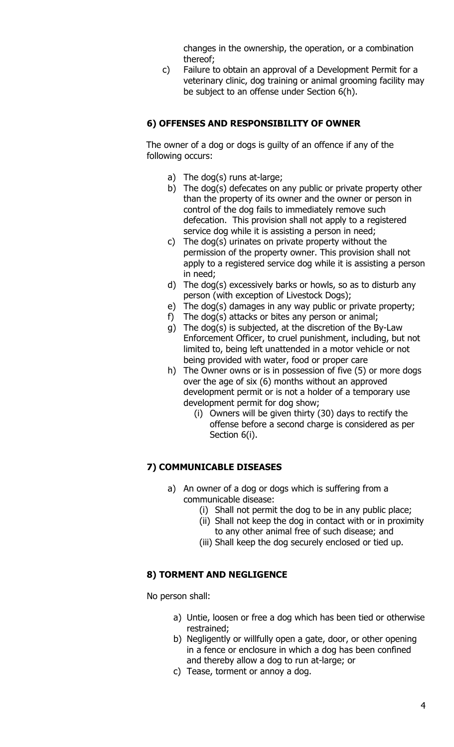changes in the ownership, the operation, or a combination thereof;

c) Failure to obtain an approval of a Development Permit for a veterinary clinic, dog training or animal grooming facility may be subject to an offense under Section 6(h).

## **6) OFFENSES AND RESPONSIBILITY OF OWNER**

The owner of a dog or dogs is guilty of an offence if any of the following occurs:

- a) The dog(s) runs at-large;
- b) The dog(s) defecates on any public or private property other than the property of its owner and the owner or person in control of the dog fails to immediately remove such defecation. This provision shall not apply to a registered service dog while it is assisting a person in need;
- c) The dog(s) urinates on private property without the permission of the property owner. This provision shall not apply to a registered service dog while it is assisting a person in need;
- d) The dog(s) excessively barks or howls, so as to disturb any person (with exception of Livestock Dogs);
- e) The dog(s) damages in any way public or private property;
- f) The dog(s) attacks or bites any person or animal;
- g) The dog(s) is subjected, at the discretion of the By-Law Enforcement Officer, to cruel punishment, including, but not limited to, being left unattended in a motor vehicle or not being provided with water, food or proper care
- h) The Owner owns or is in possession of five (5) or more dogs over the age of six (6) months without an approved development permit or is not a holder of a temporary use development permit for dog show;
	- (i) Owners will be given thirty (30) days to rectify the offense before a second charge is considered as per Section 6(i).

### **7) COMMUNICABLE DISEASES**

- a) An owner of a dog or dogs which is suffering from a communicable disease:
	- (i) Shall not permit the dog to be in any public place;
	- (ii) Shall not keep the dog in contact with or in proximity to any other animal free of such disease; and
	- (iii) Shall keep the dog securely enclosed or tied up.

### **8) TORMENT AND NEGLIGENCE**

No person shall:

- a) Untie, loosen or free a dog which has been tied or otherwise restrained;
- b) Negligently or willfully open a gate, door, or other opening in a fence or enclosure in which a dog has been confined and thereby allow a dog to run at-large; or
- c) Tease, torment or annoy a dog.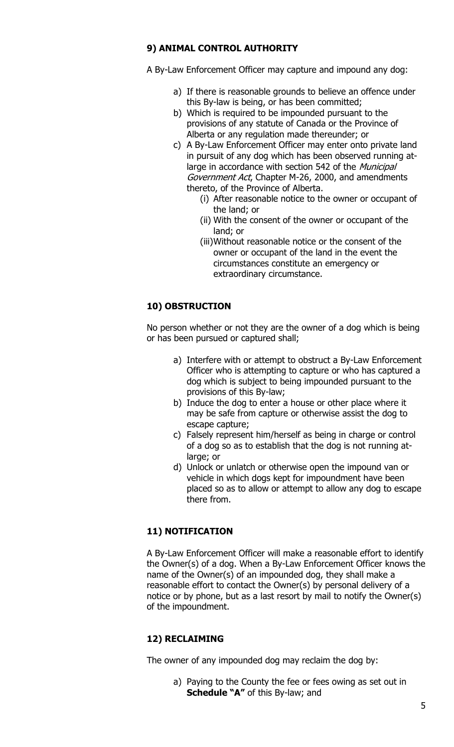### **9) ANIMAL CONTROL AUTHORITY**

A By-Law Enforcement Officer may capture and impound any dog:

- a) If there is reasonable grounds to believe an offence under this By-law is being, or has been committed;
- b) Which is required to be impounded pursuant to the provisions of any statute of Canada or the Province of Alberta or any regulation made thereunder; or
- c) A By-Law Enforcement Officer may enter onto private land in pursuit of any dog which has been observed running atlarge in accordance with section 542 of the *Municipal* Government Act, Chapter M-26, 2000, and amendments thereto, of the Province of Alberta.
	- (i) After reasonable notice to the owner or occupant of the land; or
	- (ii) With the consent of the owner or occupant of the land; or
	- (iii)Without reasonable notice or the consent of the owner or occupant of the land in the event the circumstances constitute an emergency or extraordinary circumstance.

## **10) OBSTRUCTION**

No person whether or not they are the owner of a dog which is being or has been pursued or captured shall;

- a) Interfere with or attempt to obstruct a By-Law Enforcement Officer who is attempting to capture or who has captured a dog which is subject to being impounded pursuant to the provisions of this By-law;
- b) Induce the dog to enter a house or other place where it may be safe from capture or otherwise assist the dog to escape capture;
- c) Falsely represent him/herself as being in charge or control of a dog so as to establish that the dog is not running atlarge; or
- d) Unlock or unlatch or otherwise open the impound van or vehicle in which dogs kept for impoundment have been placed so as to allow or attempt to allow any dog to escape there from.

## **11) NOTIFICATION**

A By-Law Enforcement Officer will make a reasonable effort to identify the Owner(s) of a dog. When a By-Law Enforcement Officer knows the name of the Owner(s) of an impounded dog, they shall make a reasonable effort to contact the Owner(s) by personal delivery of a notice or by phone, but as a last resort by mail to notify the Owner(s) of the impoundment.

## **12) RECLAIMING**

The owner of any impounded dog may reclaim the dog by:

a) Paying to the County the fee or fees owing as set out in **Schedule "A"** of this By-law; and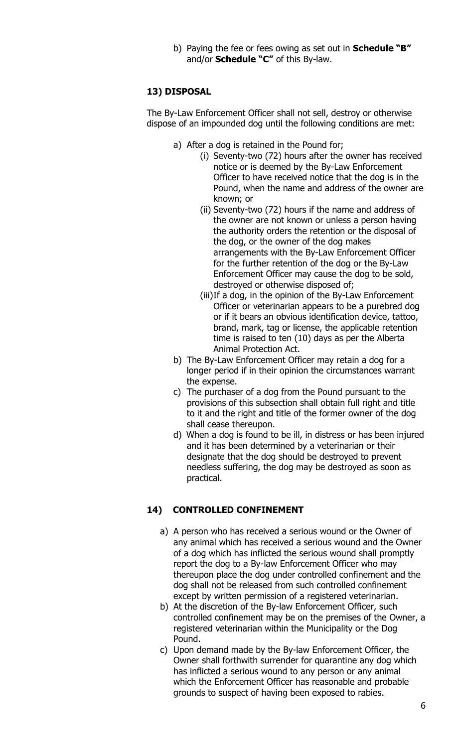b) Paying the fee or fees owing as set out in **Schedule "B"** and/or **Schedule "C"** of this By-law.

### **13) DISPOSAL**

The By-Law Enforcement Officer shall not sell, destroy or otherwise dispose of an impounded dog until the following conditions are met:

- a) After a dog is retained in the Pound for;
	- (i) Seventy-two (72) hours after the owner has received notice or is deemed by the By-Law Enforcement Officer to have received notice that the dog is in the Pound, when the name and address of the owner are known; or
	- (ii) Seventy-two (72) hours if the name and address of the owner are not known or unless a person having the authority orders the retention or the disposal of the dog, or the owner of the dog makes arrangements with the By-Law Enforcement Officer for the further retention of the dog or the By-Law Enforcement Officer may cause the dog to be sold, destroyed or otherwise disposed of;
	- (iii)If a dog, in the opinion of the By-Law Enforcement Officer or veterinarian appears to be a purebred dog or if it bears an obvious identification device, tattoo, brand, mark, tag or license, the applicable retention time is raised to ten (10) days as per the Alberta Animal Protection Act.
- b) The By-Law Enforcement Officer may retain a dog for a longer period if in their opinion the circumstances warrant the expense.
- c) The purchaser of a dog from the Pound pursuant to the provisions of this subsection shall obtain full right and title to it and the right and title of the former owner of the dog shall cease thereupon.
- d) When a dog is found to be ill, in distress or has been injured and it has been determined by a veterinarian or their designate that the dog should be destroyed to prevent needless suffering, the dog may be destroyed as soon as practical.

### **14) CONTROLLED CONFINEMENT**

- a) A person who has received a serious wound or the Owner of any animal which has received a serious wound and the Owner of a dog which has inflicted the serious wound shall promptly report the dog to a By-law Enforcement Officer who may thereupon place the dog under controlled confinement and the dog shall not be released from such controlled confinement except by written permission of a registered veterinarian.
- b) At the discretion of the By-law Enforcement Officer, such controlled confinement may be on the premises of the Owner, a registered veterinarian within the Municipality or the Dog Pound.
- c) Upon demand made by the By-law Enforcement Officer, the Owner shall forthwith surrender for quarantine any dog which has inflicted a serious wound to any person or any animal which the Enforcement Officer has reasonable and probable grounds to suspect of having been exposed to rabies.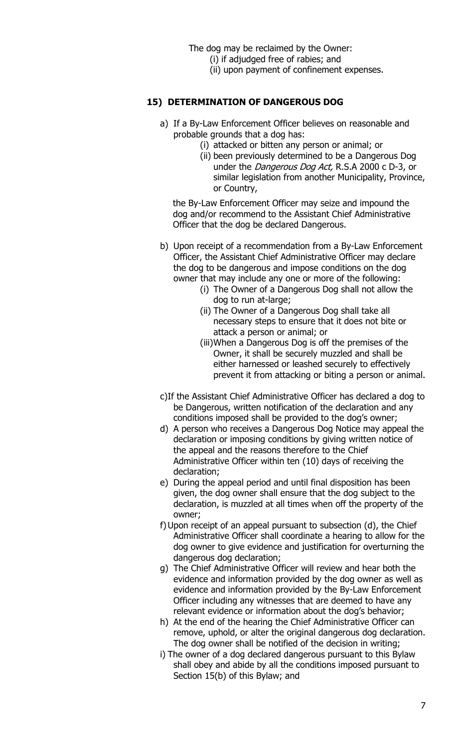The dog may be reclaimed by the Owner:

- (i) if adjudged free of rabies; and
- (ii) upon payment of confinement expenses.

#### **15) DETERMINATION OF DANGEROUS DOG**

- a) If a By-Law Enforcement Officer believes on reasonable and probable grounds that a dog has:
	- (i) attacked or bitten any person or animal; or
	- (ii) been previously determined to be a Dangerous Dog under the *Dangerous Dog Act*, R.S.A 2000 c D-3, or similar legislation from another Municipality, Province, or Country,

the By-Law Enforcement Officer may seize and impound the dog and/or recommend to the Assistant Chief Administrative Officer that the dog be declared Dangerous.

- b) Upon receipt of a recommendation from a By-Law Enforcement Officer, the Assistant Chief Administrative Officer may declare the dog to be dangerous and impose conditions on the dog owner that may include any one or more of the following:
	- (i) The Owner of a Dangerous Dog shall not allow the dog to run at-large;
	- (ii) The Owner of a Dangerous Dog shall take all necessary steps to ensure that it does not bite or attack a person or animal; or
	- (iii)When a Dangerous Dog is off the premises of the Owner, it shall be securely muzzled and shall be either harnessed or leashed securely to effectively prevent it from attacking or biting a person or animal.
- c)If the Assistant Chief Administrative Officer has declared a dog to be Dangerous, written notification of the declaration and any conditions imposed shall be provided to the dog's owner;
- d) A person who receives a Dangerous Dog Notice may appeal the declaration or imposing conditions by giving written notice of the appeal and the reasons therefore to the Chief Administrative Officer within ten (10) days of receiving the declaration;
- e) During the appeal period and until final disposition has been given, the dog owner shall ensure that the dog subject to the declaration, is muzzled at all times when off the property of the owner;
- f)Upon receipt of an appeal pursuant to subsection (d), the Chief Administrative Officer shall coordinate a hearing to allow for the dog owner to give evidence and justification for overturning the dangerous dog declaration;
- g) The Chief Administrative Officer will review and hear both the evidence and information provided by the dog owner as well as evidence and information provided by the By-Law Enforcement Officer including any witnesses that are deemed to have any relevant evidence or information about the dog's behavior;
- h) At the end of the hearing the Chief Administrative Officer can remove, uphold, or alter the original dangerous dog declaration. The dog owner shall be notified of the decision in writing;
- i) The owner of a dog declared dangerous pursuant to this Bylaw shall obey and abide by all the conditions imposed pursuant to Section 15(b) of this Bylaw; and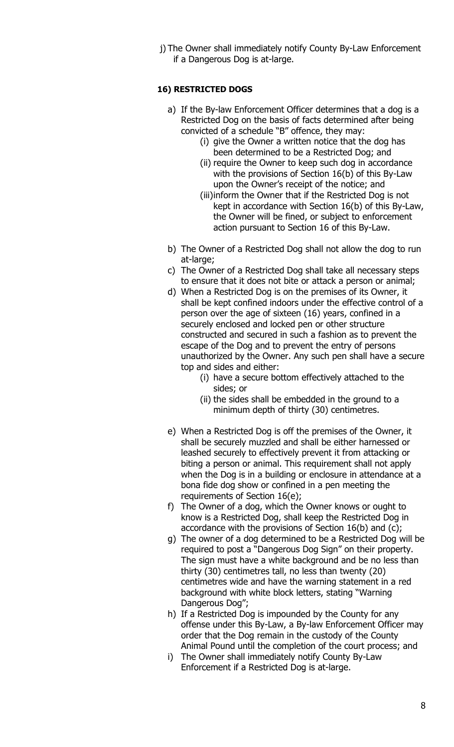j) The Owner shall immediately notify County By-Law Enforcement if a Dangerous Dog is at-large.

#### **16) RESTRICTED DOGS**

- a) If the By-law Enforcement Officer determines that a dog is a Restricted Dog on the basis of facts determined after being convicted of a schedule "B" offence, they may:
	- (i) give the Owner a written notice that the dog has been determined to be a Restricted Dog; and
	- (ii) require the Owner to keep such dog in accordance with the provisions of Section 16(b) of this By-Law upon the Owner's receipt of the notice; and
	- (iii)inform the Owner that if the Restricted Dog is not kept in accordance with Section 16(b) of this By-Law, the Owner will be fined, or subject to enforcement action pursuant to Section 16 of this By-Law.
- b) The Owner of a Restricted Dog shall not allow the dog to run at-large;
- c) The Owner of a Restricted Dog shall take all necessary steps to ensure that it does not bite or attack a person or animal;
- d) When a Restricted Dog is on the premises of its Owner, it shall be kept confined indoors under the effective control of a person over the age of sixteen (16) years, confined in a securely enclosed and locked pen or other structure constructed and secured in such a fashion as to prevent the escape of the Dog and to prevent the entry of persons unauthorized by the Owner. Any such pen shall have a secure top and sides and either:
	- (i) have a secure bottom effectively attached to the sides; or
	- (ii) the sides shall be embedded in the ground to a minimum depth of thirty (30) centimetres.
- e) When a Restricted Dog is off the premises of the Owner, it shall be securely muzzled and shall be either harnessed or leashed securely to effectively prevent it from attacking or biting a person or animal. This requirement shall not apply when the Dog is in a building or enclosure in attendance at a bona fide dog show or confined in a pen meeting the requirements of Section 16(e);
- f) The Owner of a dog, which the Owner knows or ought to know is a Restricted Dog, shall keep the Restricted Dog in accordance with the provisions of Section 16(b) and (c);
- g) The owner of a dog determined to be a Restricted Dog will be required to post a "Dangerous Dog Sign" on their property. The sign must have a white background and be no less than thirty (30) centimetres tall, no less than twenty (20) centimetres wide and have the warning statement in a red background with white block letters, stating "Warning Dangerous Dog";
- h) If a Restricted Dog is impounded by the County for any offense under this By-Law, a By-law Enforcement Officer may order that the Dog remain in the custody of the County Animal Pound until the completion of the court process; and
- i) The Owner shall immediately notify County By-Law Enforcement if a Restricted Dog is at-large.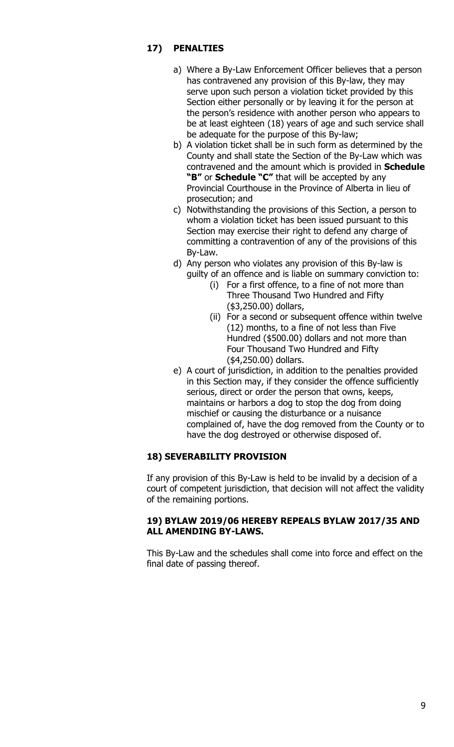### **17) PENALTIES**

- a) Where a By-Law Enforcement Officer believes that a person has contravened any provision of this By-law, they may serve upon such person a violation ticket provided by this Section either personally or by leaving it for the person at the person's residence with another person who appears to be at least eighteen (18) years of age and such service shall be adequate for the purpose of this By-law;
- b) A violation ticket shall be in such form as determined by the County and shall state the Section of the By-Law which was contravened and the amount which is provided in **Schedule "B"** or **Schedule "C"** that will be accepted by any Provincial Courthouse in the Province of Alberta in lieu of prosecution; and
- c) Notwithstanding the provisions of this Section, a person to whom a violation ticket has been issued pursuant to this Section may exercise their right to defend any charge of committing a contravention of any of the provisions of this By-Law.
- d) Any person who violates any provision of this By-law is guilty of an offence and is liable on summary conviction to:
	- (i) For a first offence, to a fine of not more than Three Thousand Two Hundred and Fifty (\$3,250.00) dollars,
	- (ii) For a second or subsequent offence within twelve (12) months, to a fine of not less than Five Hundred (\$500.00) dollars and not more than Four Thousand Two Hundred and Fifty (\$4,250.00) dollars.
- e) A court of jurisdiction, in addition to the penalties provided in this Section may, if they consider the offence sufficiently serious, direct or order the person that owns, keeps, maintains or harbors a dog to stop the dog from doing mischief or causing the disturbance or a nuisance complained of, have the dog removed from the County or to have the dog destroyed or otherwise disposed of.

## **18) SEVERABILITY PROVISION**

If any provision of this By-Law is held to be invalid by a decision of a court of competent jurisdiction, that decision will not affect the validity of the remaining portions.

### **19) BYLAW 2019/06 HEREBY REPEALS BYLAW 2017/35 AND ALL AMENDING BY-LAWS.**

This By-Law and the schedules shall come into force and effect on the final date of passing thereof.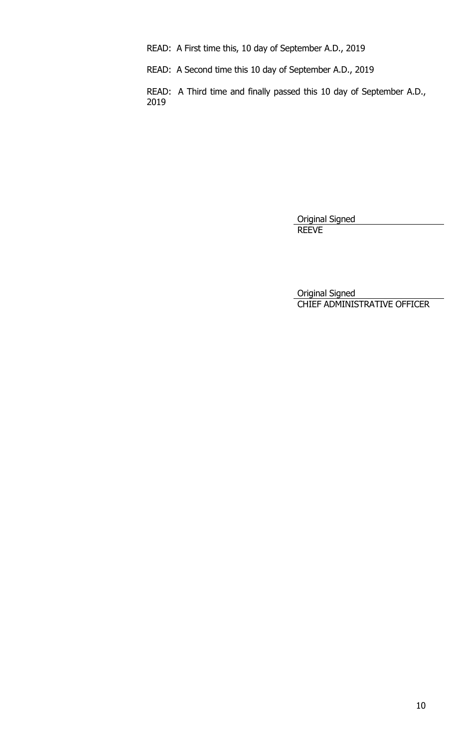READ: A First time this, 10 day of September A.D., 2019

READ: A Second time this 10 day of September A.D., 2019

READ: A Third time and finally passed this 10 day of September A.D., 2019

> Original Signed REEVE

Original Signed CHIEF ADMINISTRATIVE OFFICER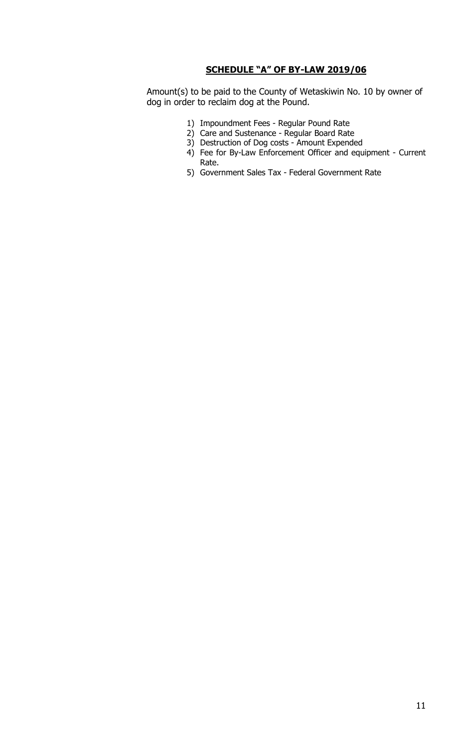#### **SCHEDULE "A" OF BY-LAW 2019/06**

Amount(s) to be paid to the County of Wetaskiwin No. 10 by owner of dog in order to reclaim dog at the Pound.

- 1) Impoundment Fees Regular Pound Rate
- 2) Care and Sustenance Regular Board Rate
- 3) Destruction of Dog costs Amount Expended
- 4) Fee for By-Law Enforcement Officer and equipment Current Rate.
- 5) Government Sales Tax Federal Government Rate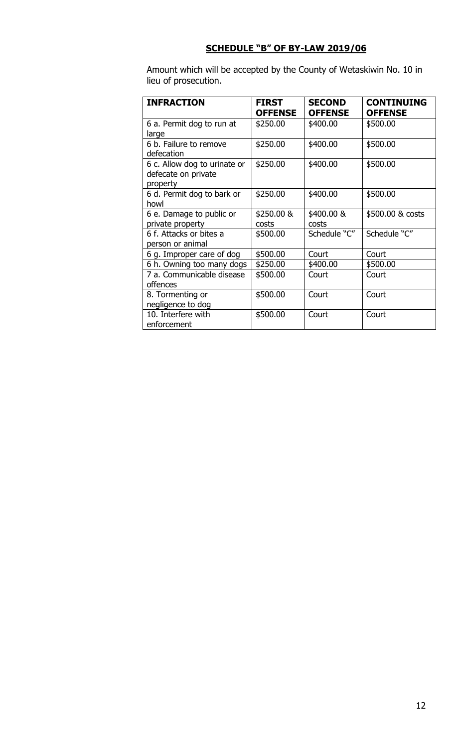# **SCHEDULE "B" OF BY-LAW 2019/06**

Amount which will be accepted by the County of Wetaskiwin No. 10 in lieu of prosecution.

| <b>INFRACTION</b>                                               | <b>FIRST</b><br><b>OFFENSE</b> | <b>SECOND</b><br><b>OFFENSE</b> | <b>CONTINUING</b><br><b>OFFENSE</b> |
|-----------------------------------------------------------------|--------------------------------|---------------------------------|-------------------------------------|
| 6 a. Permit dog to run at<br>large                              | \$250.00                       | \$400.00                        | \$500.00                            |
| 6 b. Failure to remove<br>defecation                            | \$250.00                       | \$400.00                        | \$500.00                            |
| 6 c. Allow dog to urinate or<br>defecate on private<br>property | \$250.00                       | \$400.00                        | \$500.00                            |
| 6 d. Permit dog to bark or<br>howl                              | \$250.00                       | \$400.00                        | \$500.00                            |
| 6 e. Damage to public or<br>private property                    | \$250.00 &<br>costs            | \$400.00 &<br>costs             | \$500.00 & costs                    |
| 6 f. Attacks or bites a<br>person or animal                     | \$500.00                       | Schedule "C"                    | Schedule "C"                        |
| 6 g. Improper care of dog                                       | \$500.00                       | Court                           | Court                               |
| 6 h. Owning too many dogs                                       | \$250.00                       | \$400.00                        | \$500.00                            |
| 7 a. Communicable disease<br>offences                           | \$500.00                       | Court                           | Court                               |
| 8. Tormenting or<br>negligence to dog                           | \$500.00                       | Court                           | Court                               |
| 10. Interfere with<br>enforcement                               | \$500.00                       | Court                           | Court                               |